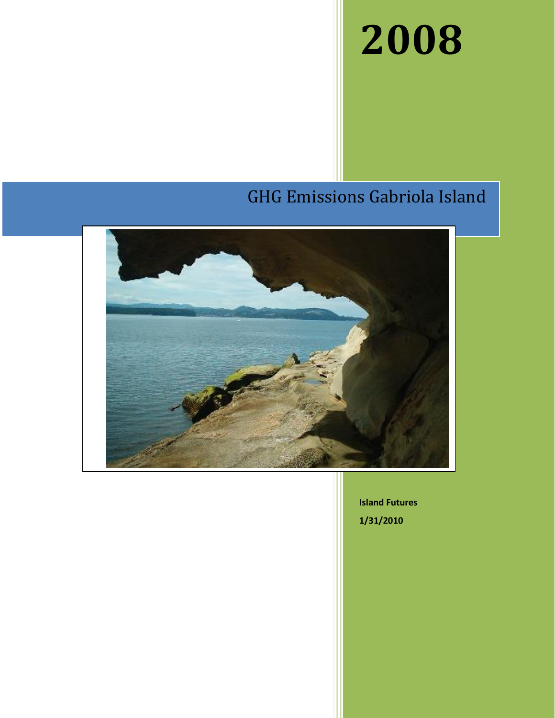# **2008**

## GHG Emissions Gabriola Island



**Island Futures 1/31/2010**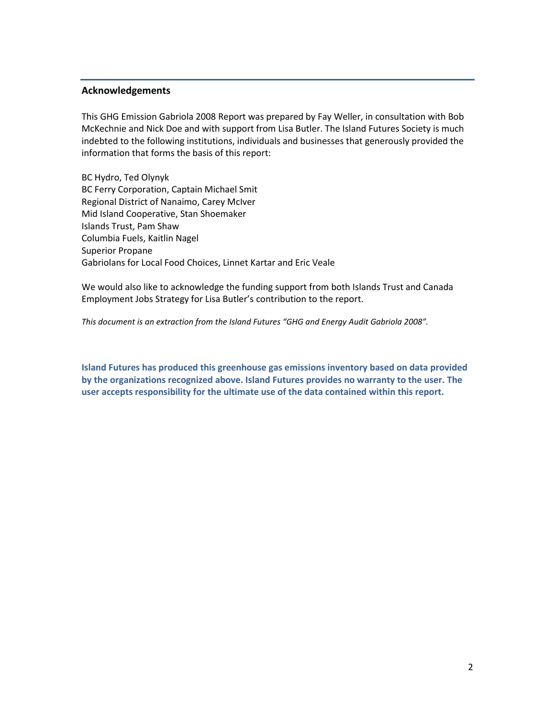#### **Acknowledgements**

This GHG Emission Gabriola 2008 Report was prepared by Fay Weller, in consultation with Bob McKechnie and Nick Doe and with support from Lisa Butler. The Island Futures Society is much indebted to the following institutions, individuals and businesses that generously provided the information that forms the basis of this report:

BC Hydro, Ted Olynyk BC Ferry Corporation, Captain Michael Smit Regional District of Nanaimo, Carey McIver Mid Island Cooperative, Stan Shoemaker Islands Trust, Pam Shaw Columbia Fuels, Kaitlin Nagel Superior Propane Gabriolans for Local Food Choices, Linnet Kartar and Eric Veale

We would also like to acknowledge the funding support from both Islands Trust and Canada Employment Jobs Strategy for Lisa Butler's contribution to the report.

*This document is an extraction from the Island Futures "GHG and Energy Audit Gabriola 2008".*

**Island Futures has produced this greenhouse gas emissions inventory based on data provided by the organizations recognized above. Island Futures provides no warranty to the user. The user accepts responsibility for the ultimate use of the data contained within this report.**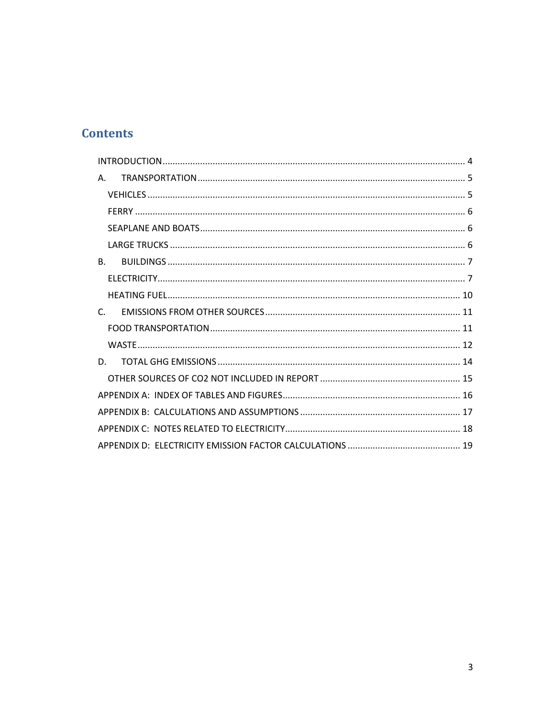## **Contents**

| Α.             |
|----------------|
|                |
|                |
|                |
|                |
| B <sub>1</sub> |
|                |
|                |
| $\mathsf{C}$   |
|                |
|                |
| D.             |
|                |
|                |
|                |
|                |
|                |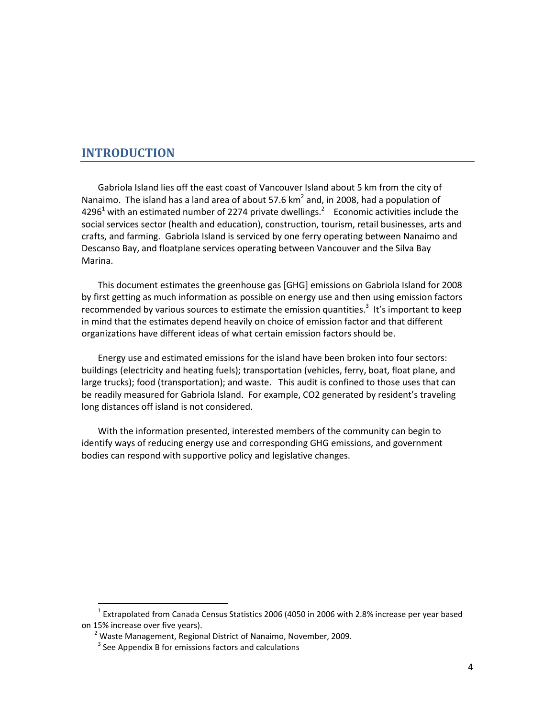## <span id="page-3-0"></span>**INTRODUCTION**

Gabriola Island lies off the east coast of Vancouver Island about 5 km from the city of Nanaimo. The island has a land area of about 57.6  $km^2$  and, in 2008, had a population of 4296<sup>1</sup> with an estimated number of 2274 private dwellings.<sup>2</sup> Economic activities include the social services sector (health and education), construction, tourism, retail businesses, arts and crafts, and farming. Gabriola Island is serviced by one ferry operating between Nanaimo and Descanso Bay, and floatplane services operating between Vancouver and the Silva Bay Marina.

This document estimates the greenhouse gas [GHG] emissions on Gabriola Island for 2008 by first getting as much information as possible on energy use and then using emission factors recommended by various sources to estimate the emission quantities.<sup>3</sup> It's important to keep in mind that the estimates depend heavily on choice of emission factor and that different organizations have different ideas of what certain emission factors should be.

Energy use and estimated emissions for the island have been broken into four sectors: buildings (electricity and heating fuels); transportation (vehicles, ferry, boat, float plane, and large trucks); food (transportation); and waste. This audit is confined to those uses that can be readily measured for Gabriola Island. For example, CO2 generated by resident's traveling long distances off island is not considered.

With the information presented, interested members of the community can begin to identify ways of reducing energy use and corresponding GHG emissions, and government bodies can respond with supportive policy and legislative changes.

 $\overline{a}$ 

 $^{1}$  Extrapolated from Canada Census Statistics 2006 (4050 in 2006 with 2.8% increase per year based on 15% increase over five years).

 $2$  Waste Management, Regional District of Nanaimo, November, 2009.

 $3$  See Appendix B for emissions factors and calculations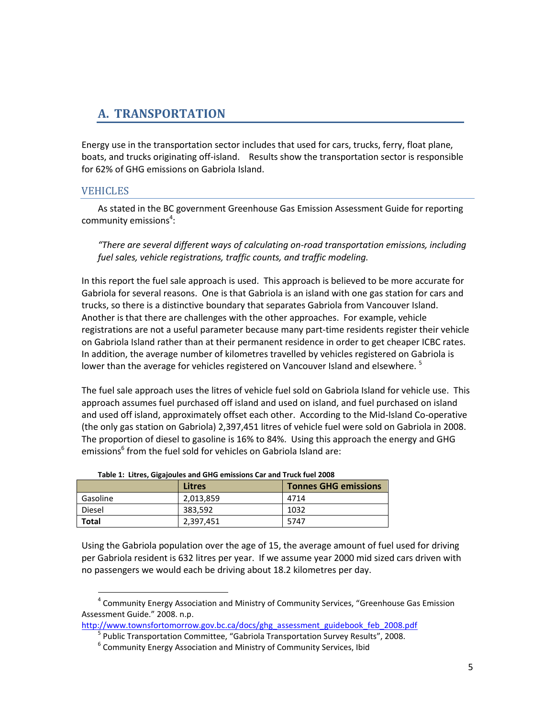## <span id="page-4-0"></span>**A. TRANSPORTATION**

Energy use in the transportation sector includes that used for cars, trucks, ferry, float plane, boats, and trucks originating off-island. Results show the transportation sector is responsible for 62% of GHG emissions on Gabriola Island.

#### <span id="page-4-1"></span>VEHICLES

l

As stated in the BC government Greenhouse Gas Emission Assessment Guide for reporting community emissions<sup>4</sup>:

*"There are several different ways of calculating on-road transportation emissions, including fuel sales, vehicle registrations, traffic counts, and traffic modeling.* 

In this report the fuel sale approach is used. This approach is believed to be more accurate for Gabriola for several reasons. One is that Gabriola is an island with one gas station for cars and trucks, so there is a distinctive boundary that separates Gabriola from Vancouver Island. Another is that there are challenges with the other approaches. For example, vehicle registrations are not a useful parameter because many part-time residents register their vehicle on Gabriola Island rather than at their permanent residence in order to get cheaper ICBC rates. In addition, the average number of kilometres travelled by vehicles registered on Gabriola is lower than the average for vehicles registered on Vancouver Island and elsewhere. <sup>5</sup>

The fuel sale approach uses the litres of vehicle fuel sold on Gabriola Island for vehicle use. This approach assumes fuel purchased off island and used on island, and fuel purchased on island and used off island, approximately offset each other. According to the Mid-Island Co-operative (the only gas station on Gabriola) 2,397,451 litres of vehicle fuel were sold on Gabriola in 2008. The proportion of diesel to gasoline is 16% to 84%. Using this approach the energy and GHG emissions<sup>6</sup> from the fuel sold for vehicles on Gabriola Island are:

| Takis at Entroy eigepence and entered chillen ear and man have avec |           |                             |  |  |  |  |  |
|---------------------------------------------------------------------|-----------|-----------------------------|--|--|--|--|--|
|                                                                     | Litres    | <b>Tonnes GHG emissions</b> |  |  |  |  |  |
| Gasoline                                                            | 2,013,859 | 4714                        |  |  |  |  |  |
| <b>Diesel</b>                                                       | 383,592   | 1032                        |  |  |  |  |  |
| <b>Total</b>                                                        | 2,397,451 | 5747                        |  |  |  |  |  |

#### **Table 1: Litres, Gigajoules and GHG emissions Car and Truck fuel 2008**

Using the Gabriola population over the age of 15, the average amount of fuel used for driving per Gabriola resident is 632 litres per year. If we assume year 2000 mid sized cars driven with no passengers we would each be driving about 18.2 kilometres per day.

[http://www.townsfortomorrow.gov.bc.ca/docs/ghg\\_assessment\\_guidebook\\_feb\\_2008.pdf](http://www.townsfortomorrow.gov.bc.ca/docs/ghg_assessment_guidebook_feb_2008.pdf)

<sup>&</sup>lt;sup>4</sup> Community Energy Association and Ministry of Community Services, "Greenhouse Gas Emission Assessment Guide." 2008. n.p.

<sup>&</sup>lt;sup>5</sup> Public Transportation Committee, "Gabriola Transportation Survey Results", 2008.

 $^6$  Community Energy Association and Ministry of Community Services, Ibid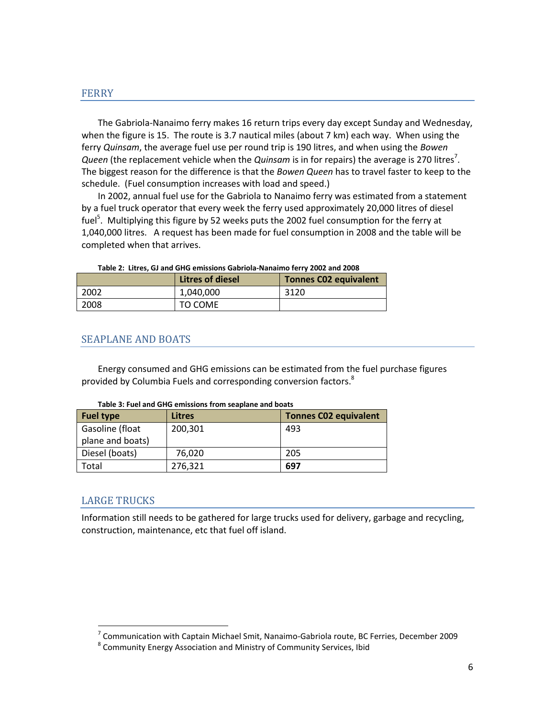#### <span id="page-5-0"></span>FERRY

The Gabriola-Nanaimo ferry makes 16 return trips every day except Sunday and Wednesday, when the figure is 15. The route is 3.7 nautical miles (about 7 km) each way. When using the ferry *Quinsam*, the average fuel use per round trip is 190 litres, and when using the *Bowen*  Queen (the replacement vehicle when the Quinsam is in for repairs) the average is 270 litres<sup>7</sup>. The biggest reason for the difference is that the *Bowen Queen* has to travel faster to keep to the schedule. (Fuel consumption increases with load and speed.)

In 2002, annual fuel use for the Gabriola to Nanaimo ferry was estimated from a statement by a fuel truck operator that every week the ferry used approximately 20,000 litres of diesel fuel<sup>5</sup>. Multiplying this figure by 52 weeks puts the 2002 fuel consumption for the ferry at 1,040,000 litres. A request has been made for fuel consumption in 2008 and the table will be completed when that arrives.

|      | <b>Litres of diesel</b> | <b>Tonnes C02 equivalent</b> |  |  |  |  |  |
|------|-------------------------|------------------------------|--|--|--|--|--|
| 2002 | 1,040,000               | 3120                         |  |  |  |  |  |
| 2008 | TO COME                 |                              |  |  |  |  |  |

#### **Table 2: Litres, GJ and GHG emissions Gabriola-Nanaimo ferry 2002 and 2008**

#### <span id="page-5-1"></span>SEAPLANE AND BOATS

Energy consumed and GHG emissions can be estimated from the fuel purchase figures provided by Columbia Fuels and corresponding conversion factors.<sup>8</sup>

| <b>Fuel type</b> | Litres  | <b>Tonnes C02 equivalent</b> |
|------------------|---------|------------------------------|
| Gasoline (float  | 200,301 | 493                          |
| plane and boats) |         |                              |
| Diesel (boats)   | 76.020  | 205                          |
| Total            | 276,321 | 697                          |

#### **Table 3: Fuel and GHG emissions from seaplane and boats**

#### <span id="page-5-2"></span>LARGE TRUCKS

Information still needs to be gathered for large trucks used for delivery, garbage and recycling, construction, maintenance, etc that fuel off island.

 7 Communication with Captain Michael Smit, Nanaimo-Gabriola route, BC Ferries, December 2009

<sup>&</sup>lt;sup>8</sup> Community Energy Association and Ministry of Community Services, Ibid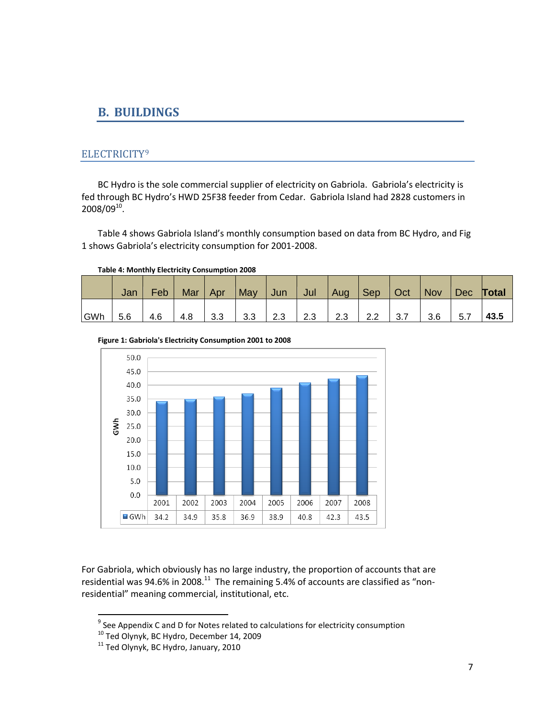## <span id="page-6-0"></span>**B. BUILDINGS**

## <span id="page-6-1"></span>ELECTRICITY<sup>9</sup>

BC Hydro is the sole commercial supplier of electricity on Gabriola. Gabriola's electricity is fed through BC Hydro's HWD 25F38 feeder from Cedar. Gabriola Island had 2828 customers in  $2008/09^{10}$ .

Table 4 shows Gabriola Island's monthly consumption based on data from BC Hydro, and Fig 1 shows Gabriola's electricity consumption for 2001-2008.

**Table 4: Monthly Electricity Consumption 2008**

|     | Jan | Feb | Mar | Apr | May | Jun | Jul | Aug | $\vert$ Sep | Oct | Nov | Dec | Total |
|-----|-----|-----|-----|-----|-----|-----|-----|-----|-------------|-----|-----|-----|-------|
| GWh | 5.6 | 4.6 | 4.8 | 3.3 | 3.3 | 2.3 | 2.3 | 2.3 | 2.2         | 3.7 | 3.6 | 5.7 | 43.5  |





For Gabriola, which obviously has no large industry, the proportion of accounts that are residential was 94.6% in 2008. $^{11}$  The remaining 5.4% of accounts are classified as "nonresidential" meaning commercial, institutional, etc.

 9 See Appendix C and D for Notes related to calculations for electricity consumption

<sup>&</sup>lt;sup>10</sup> Ted Olynyk, BC Hydro, December 14, 2009

 $11$  Ted Olynyk, BC Hydro, January, 2010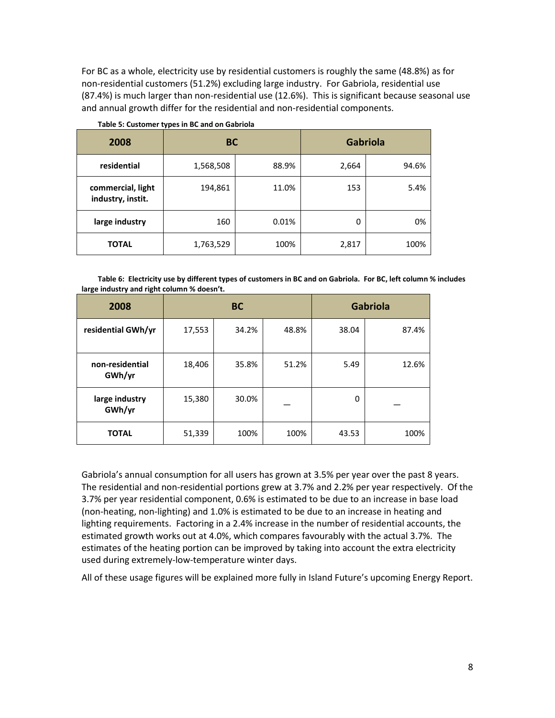For BC as a whole, electricity use by residential customers is roughly the same (48.8%) as for non-residential customers (51.2%) excluding large industry. For Gabriola, residential use (87.4%) is much larger than non-residential use (12.6%). This is significant because seasonal use and annual growth differ for the residential and non-residential components.

| 2008                                   | <b>BC</b> |       | <b>Gabriola</b> |       |  |
|----------------------------------------|-----------|-------|-----------------|-------|--|
| residential                            | 1,568,508 | 88.9% | 2,664           | 94.6% |  |
| commercial, light<br>industry, instit. | 194,861   | 11.0% | 153             | 5.4%  |  |
| large industry                         | 160       | 0.01% | 0               | 0%    |  |
| <b>TOTAL</b>                           | 1,763,529 | 100%  | 2,817           | 100%  |  |

**Table 5: Customer types in BC and on Gabriola**

**Table 6: Electricity use by different types of customers in BC and on Gabriola. For BC, left column % includes large industry and right column % doesn't.** 

| 2008                      |        | <b>BC</b> | <b>Gabriola</b> |       |       |
|---------------------------|--------|-----------|-----------------|-------|-------|
| residential GWh/yr        | 17,553 | 34.2%     | 48.8%           | 38.04 | 87.4% |
| non-residential<br>GWh/yr | 18,406 | 35.8%     | 51.2%           | 5.49  | 12.6% |
| large industry<br>GWh/yr  | 15,380 | 30.0%     |                 | 0     |       |
| <b>TOTAL</b>              | 51,339 | 100%      | 100%            | 43.53 | 100%  |

Gabriola's annual consumption for all users has grown at 3.5% per year over the past 8 years. The residential and non-residential portions grew at 3.7% and 2.2% per year respectively. Of the 3.7% per year residential component, 0.6% is estimated to be due to an increase in base load (non-heating, non-lighting) and 1.0% is estimated to be due to an increase in heating and lighting requirements. Factoring in a 2.4% increase in the number of residential accounts, the estimated growth works out at 4.0%, which compares favourably with the actual 3.7%. The estimates of the heating portion can be improved by taking into account the extra electricity used during extremely-low-temperature winter days.

All of these usage figures will be explained more fully in Island Future's upcoming Energy Report.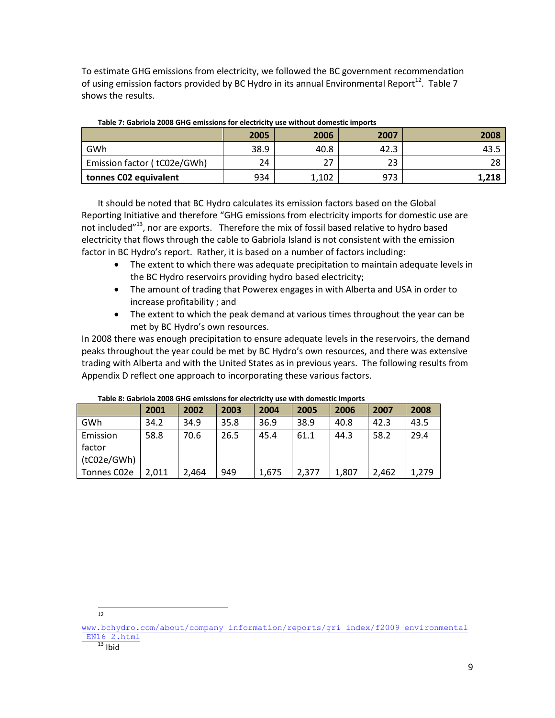To estimate GHG emissions from electricity, we followed the BC government recommendation of using emission factors provided by BC Hydro in its annual Environmental Report<sup>12</sup>. Table 7 shows the results.

|                             | 2005 | 2006  | 2007 | 2008  |
|-----------------------------|------|-------|------|-------|
| GWh                         | 38.9 | 40.8  | 42.3 | 43.5  |
| Emission factor (tC02e/GWh) | 24   | 27    | 23   | 28    |
| tonnes CO2 equivalent       | 934  | 1,102 | 973  | 1,218 |

#### **Table 7: Gabriola 2008 GHG emissions for electricity use without domestic imports**

It should be noted that BC Hydro calculates its emission factors based on the Global Reporting Initiative and therefore "GHG emissions from electricity imports for domestic use are not included"<sup>13</sup>, nor are exports. Therefore the mix of fossil based relative to hydro based electricity that flows through the cable to Gabriola Island is not consistent with the emission factor in BC Hydro's report. Rather, it is based on a number of factors including:

- The extent to which there was adequate precipitation to maintain adequate levels in the BC Hydro reservoirs providing hydro based electricity;
- The amount of trading that Powerex engages in with Alberta and USA in order to increase profitability ; and
- The extent to which the peak demand at various times throughout the year can be met by BC Hydro's own resources.

In 2008 there was enough precipitation to ensure adequate levels in the reservoirs, the demand peaks throughout the year could be met by BC Hydro's own resources, and there was extensive trading with Alberta and with the United States as in previous years. The following results from Appendix D reflect one approach to incorporating these various factors.

|             | 2001  | 2002  | 2003 | 2004  | 2005  | 2006  | 2007  | 2008  |  |
|-------------|-------|-------|------|-------|-------|-------|-------|-------|--|
| GWh         | 34.2  | 34.9  | 35.8 | 36.9  | 38.9  | 40.8  | 42.3  | 43.5  |  |
| Emission    | 58.8  | 70.6  | 26.5 | 45.4  | 61.1  | 44.3  | 58.2  | 29.4  |  |
| factor      |       |       |      |       |       |       |       |       |  |
| (tC02e/GWh) |       |       |      |       |       |       |       |       |  |
| Tonnes C02e | 2.011 | 2.464 | 949  | 1,675 | 2,377 | 1,807 | 2.462 | 1,279 |  |

#### **Table 8: Gabriola 2008 GHG emissions for electricity use with domestic imports**

 $\frac{1}{12}$ 

[www.bchydro.com/about/company\\_information/reports/gri\\_index/f2009\\_environmental](http://www.bchydro.com/about/company_information/reports/gri_index/f2009_environmental_EN16_2.html) EN16 2.html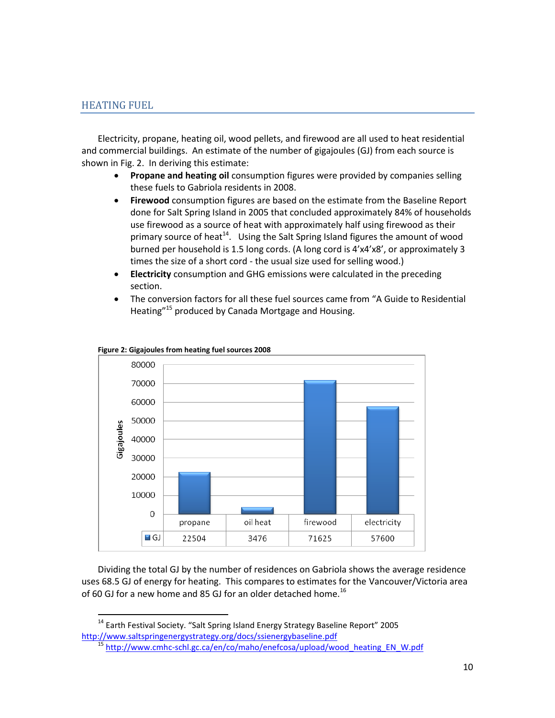## <span id="page-9-0"></span>HEATING FUEL

 $\overline{\phantom{a}}$ 

Electricity, propane, heating oil, wood pellets, and firewood are all used to heat residential and commercial buildings. An estimate of the number of gigajoules (GJ) from each source is shown in Fig. 2. In deriving this estimate:

- **Propane and heating oil** consumption figures were provided by companies selling these fuels to Gabriola residents in 2008.
- **Firewood** consumption figures are based on the estimate from the Baseline Report done for Salt Spring Island in 2005 that concluded approximately 84% of households use firewood as a source of heat with approximately half using firewood as their primary source of heat<sup>14</sup>. Using the Salt Spring Island figures the amount of wood burned per household is 1.5 long cords. (A long cord is 4'x4'x8', or approximately 3 times the size of a short cord - the usual size used for selling wood.)
- **Electricity** consumption and GHG emissions were calculated in the preceding section.
- The conversion factors for all these fuel sources came from "A Guide to Residential Heating"<sup>15</sup> produced by Canada Mortgage and Housing.



#### **Figure 2: Gigajoules from heating fuel sources 2008**

Dividing the total GJ by the number of residences on Gabriola shows the average residence uses 68.5 GJ of energy for heating. This compares to estimates for the Vancouver/Victoria area of 60 GJ for a new home and 85 GJ for an older detached home.<sup>16</sup>

<sup>&</sup>lt;sup>14</sup> Earth Festival Society. "Salt Spring Island Energy Strategy Baseline Report" 2005 <http://www.saltspringenergystrategy.org/docs/ssienergybaseline.pdf>

<sup>&</sup>lt;sup>15</sup> http://www.cmhc-schl.gc.ca/en/co/maho/enefcosa/upload/wood heating EN W.pdf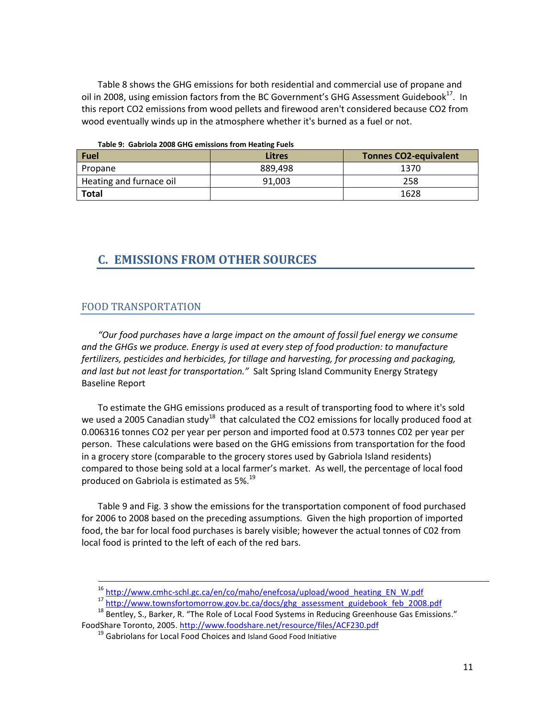Table 8 shows the GHG emissions for both residential and commercial use of propane and oil in 2008, using emission factors from the BC Government's GHG Assessment Guidebook $^{17}$ . In this report CO2 emissions from wood pellets and firewood aren't considered because CO2 from wood eventually winds up in the atmosphere whether it's burned as a fuel or not.

|  |  |  | Table 9: Gabriola 2008 GHG emissions from Heating Fuels |  |
|--|--|--|---------------------------------------------------------|--|
|  |  |  |                                                         |  |

| Fuel                    | Litres  | <b>Tonnes CO2-equivalent</b> |
|-------------------------|---------|------------------------------|
| Propane                 | 889.498 | 1370                         |
| Heating and furnace oil | 91,003  | 258                          |
| <b>Total</b>            |         | 1628                         |

## <span id="page-10-0"></span>**C. EMISSIONS FROM OTHER SOURCES**

#### <span id="page-10-1"></span>FOOD TRANSPORTATION

 $\overline{a}$ 

*"Our food purchases have a large impact on the amount of fossil fuel energy we consume and the GHGs we produce. Energy is used at every step of food production: to manufacture fertilizers, pesticides and herbicides, for tillage and harvesting, for processing and packaging, and last but not least for transportation."* Salt Spring Island Community Energy Strategy Baseline Report

To estimate the GHG emissions produced as a result of transporting food to where it's sold we used a 2005 Canadian study<sup>18</sup> that calculated the CO2 emissions for locally produced food at 0.006316 tonnes CO2 per year per person and imported food at 0.573 tonnes C02 per year per person. These calculations were based on the GHG emissions from transportation for the food in a grocery store (comparable to the grocery stores used by Gabriola Island residents) compared to those being sold at a local farmer's market. As well, the percentage of local food produced on Gabriola is estimated as 5%.<sup>19</sup>

Table 9 and Fig. 3 show the emissions for the transportation component of food purchased for 2006 to 2008 based on the preceding assumptions. Given the high proportion of imported food, the bar for local food purchases is barely visible; however the actual tonnes of C02 from local food is printed to the left of each of the red bars.

<sup>&</sup>lt;sup>16</sup> http://www.cmhc-schl.gc.ca/en/co/maho/enefcosa/upload/wood heating EN\_W.pdf

<sup>17</sup> [http://www.townsfortomorrow.gov.bc.ca/docs/ghg\\_assessment\\_guidebook\\_feb\\_2008.pdf](http://www.townsfortomorrow.gov.bc.ca/docs/ghg_assessment_guidebook_feb_2008.pdf)

<sup>&</sup>lt;sup>18</sup> Bentley, S., Barker, R. "The Role of Local Food Systems in Reducing Greenhouse Gas Emissions." FoodShare Toronto, 2005.<http://www.foodshare.net/resource/files/ACF230.pdf>

<sup>&</sup>lt;sup>19</sup> Gabriolans for Local Food Choices and Island Good Food Initiative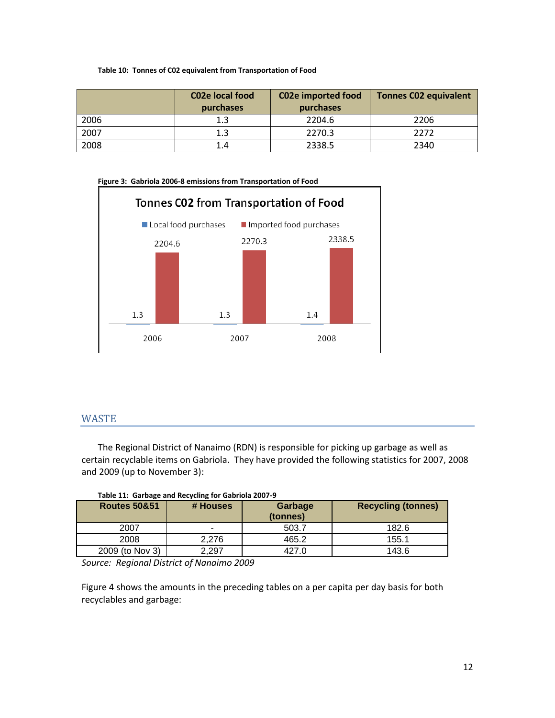#### **Table 10: Tonnes of C02 equivalent from Transportation of Food**

|      | C <sub>02</sub> e local food<br>purchases | <b>C02e imported food</b><br>purchases | <b>Tonnes C02 equivalent</b> |
|------|-------------------------------------------|----------------------------------------|------------------------------|
| 2006 | 1.3                                       | 2204.6                                 | 2206                         |
| 2007 | 1.3                                       | 2270.3                                 | 2272                         |
| 2008 | 1.4                                       | 2338.5                                 | 2340                         |



## <span id="page-11-0"></span>**WASTE**

The Regional District of Nanaimo (RDN) is responsible for picking up garbage as well as certain recyclable items on Gabriola. They have provided the following statistics for 2007, 2008 and 2009 (up to November 3):

| rabic 11. Garbage and necycling for Gabriola 2007-3 |          |                     |                           |  |  |
|-----------------------------------------------------|----------|---------------------|---------------------------|--|--|
| <b>Routes 50&amp;51</b>                             | # Houses | Garbage<br>(tonnes) | <b>Recycling (tonnes)</b> |  |  |
| 2007                                                |          | 503.7               | 182.6                     |  |  |
| 2008                                                | 2.276    | 465.2               | 155.1                     |  |  |
| 2009 (to Nov 3)                                     | 2.297    | 427.0               | 143.6                     |  |  |

*Source: Regional District of Nanaimo 2009*

Figure 4 shows the amounts in the preceding tables on a per capita per day basis for both recyclables and garbage: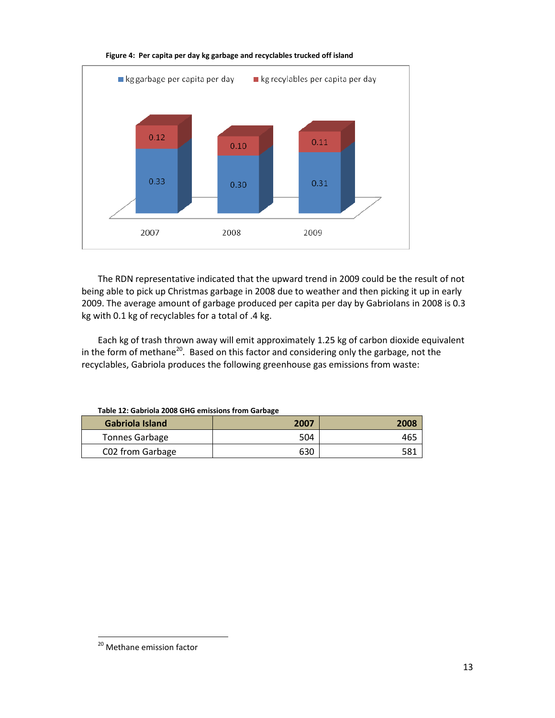

#### **Figure 4: Per capita per day kg garbage and recyclables trucked off island**

The RDN representative indicated that the upward trend in 2009 could be the result of not being able to pick up Christmas garbage in 2008 due to weather and then picking it up in early 2009. The average amount of garbage produced per capita per day by Gabriolans in 2008 is 0.3 kg with 0.1 kg of recyclables for a total of .4 kg.

Each kg of trash thrown away will emit approximately 1.25 kg of carbon dioxide equivalent in the form of methane<sup>20</sup>. Based on this factor and considering only the garbage, not the recyclables, Gabriola produces the following greenhouse gas emissions from waste:

| Table 12. Gabriold 2000 Grig emissions from Garbake |      |      |  |  |
|-----------------------------------------------------|------|------|--|--|
| Gabriola Island                                     | 2007 | 2008 |  |  |
| <b>Tonnes Garbage</b>                               | 504  | 465  |  |  |
| C02 from Garbage                                    | 630  | 581  |  |  |

**Table 12: Gabriola 2008 GHG emissions from Garbage**

 $\overline{\phantom{a}}$ 

<sup>&</sup>lt;sup>20</sup> Methane emission factor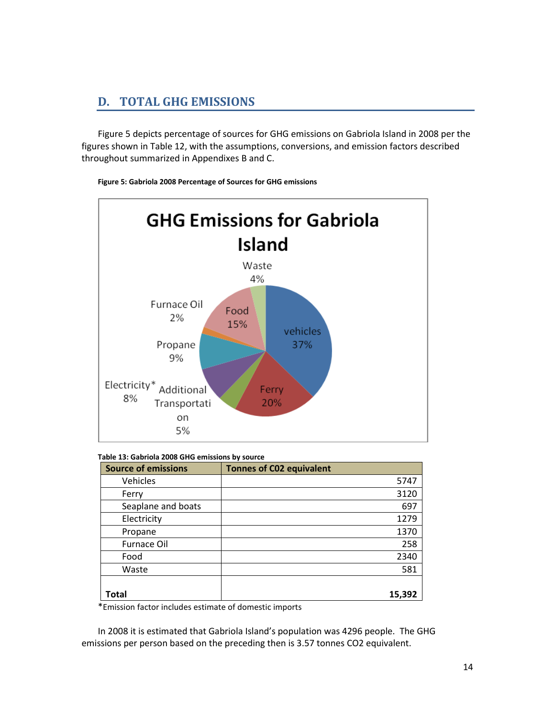## <span id="page-13-0"></span>**D. TOTAL GHG EMISSIONS**

Figure 5 depicts percentage of sources for GHG emissions on Gabriola Island in 2008 per the figures shown in Table 12, with the assumptions, conversions, and emission factors described throughout summarized in Appendixes B and C.



**Figure 5: Gabriola 2008 Percentage of Sources for GHG emissions**

| <b>Source of emissions</b> | <b>Tonnes of C02 equivalent</b> |
|----------------------------|---------------------------------|
| <b>Vehicles</b>            | 5747                            |
| Ferry                      | 3120                            |
| Seaplane and boats         | 697                             |
| Electricity                | 1279                            |
| Propane                    | 1370                            |
| <b>Furnace Oil</b>         | 258                             |
| Food                       | 2340                            |
| Waste                      | 581                             |
|                            |                                 |
| Total                      | 15,392                          |

\*Emission factor includes estimate of domestic imports

In 2008 it is estimated that Gabriola Island's population was 4296 people. The GHG emissions per person based on the preceding then is 3.57 tonnes CO2 equivalent.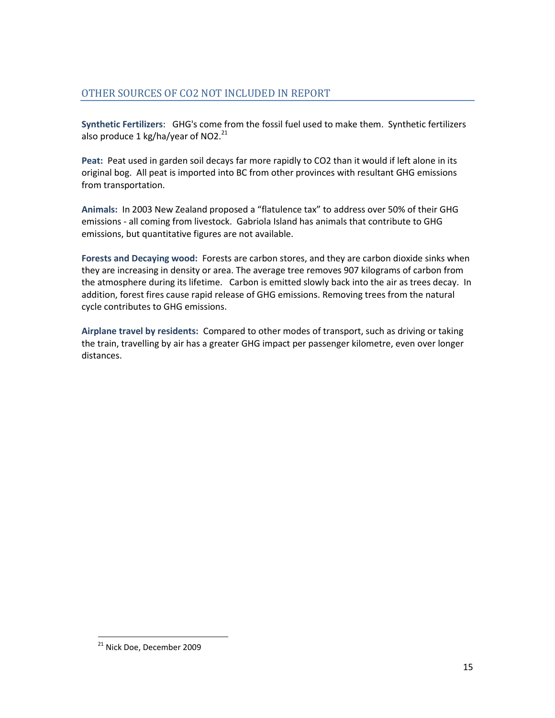## <span id="page-14-0"></span>OTHER SOURCES OF CO2 NOT INCLUDED IN REPORT

**Synthetic Fertilizers**: GHG's come from the fossil fuel used to make them. Synthetic fertilizers also produce 1 kg/ha/year of NO2. $^{21}$ 

**Peat:** Peat used in garden soil decays far more rapidly to CO2 than it would if left alone in its original bog. All peat is imported into BC from other provinces with resultant GHG emissions from transportation.

**Animals:** In 2003 New Zealand proposed a "flatulence tax" to address over 50% of their GHG emissions - all coming from livestock. Gabriola Island has animals that contribute to GHG emissions, but quantitative figures are not available.

**Forests and Decaying wood:** Forests are carbon stores, and they are carbon dioxide sinks when they are increasing in density or area. The average tree removes 907 kilograms of carbon from the atmosphere during its lifetime. Carbon is emitted slowly back into the air as trees decay. In addition, forest fires cause rapid release of GHG emissions. Removing trees from the natural cycle contributes to GHG emissions.

**Airplane travel by residents:** Compared to other modes of transport, such as driving or taking the train, travelling by air has a greater GHG impact per passenger kilometre, even over longer distances.

 $\overline{\phantom{a}}$ 

<sup>&</sup>lt;sup>21</sup> Nick Doe, December 2009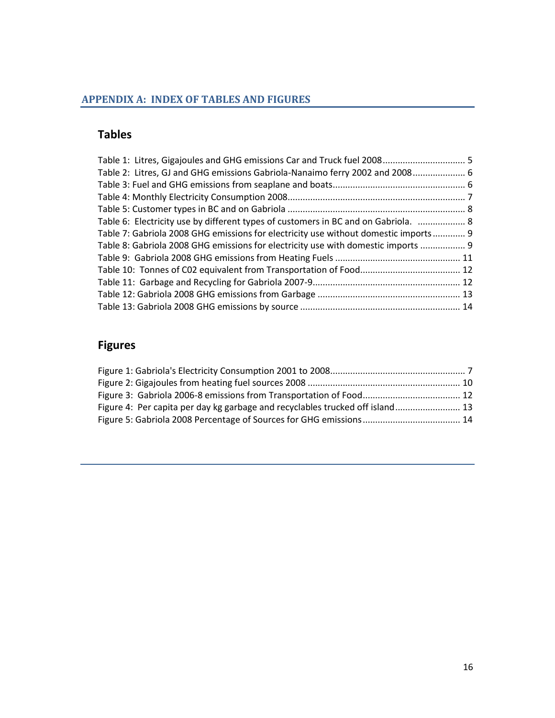## <span id="page-15-0"></span>**APPENDIX A: INDEX OF TABLES AND FIGURES**

## **Tables**

| Table 1: Litres, Gigajoules and GHG emissions Car and Truck fuel 2008 5             |  |
|-------------------------------------------------------------------------------------|--|
| Table 2: Litres, GJ and GHG emissions Gabriola-Nanaimo ferry 2002 and 2008 6        |  |
|                                                                                     |  |
|                                                                                     |  |
|                                                                                     |  |
| Table 6: Electricity use by different types of customers in BC and on Gabriola.  8  |  |
| Table 7: Gabriola 2008 GHG emissions for electricity use without domestic imports 9 |  |
| Table 8: Gabriola 2008 GHG emissions for electricity use with domestic imports  9   |  |
|                                                                                     |  |
|                                                                                     |  |
|                                                                                     |  |
|                                                                                     |  |
|                                                                                     |  |
|                                                                                     |  |

## **Figures**

| Figure 4: Per capita per day kg garbage and recyclables trucked off island 13 |  |
|-------------------------------------------------------------------------------|--|
|                                                                               |  |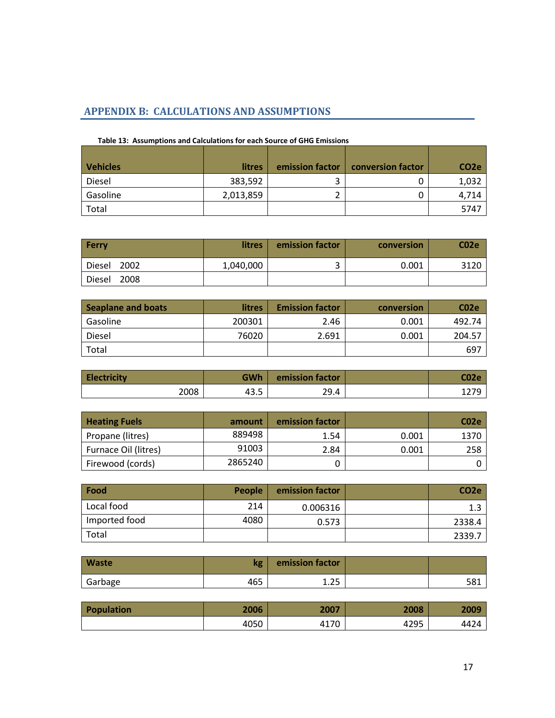## <span id="page-16-0"></span>**APPENDIX B: CALCULATIONS AND ASSUMPTIONS**

| <b>Vehicles</b> | <b>litres</b> | emission factor | conversion factor | CO <sub>2</sub> e |
|-----------------|---------------|-----------------|-------------------|-------------------|
| Diesel          | 383,592       |                 |                   | 1,032             |
| Gasoline        | 2,013,859     |                 |                   | 4,714             |
| Total           |               |                 |                   | 5747              |

#### **Table 13: Assumptions and Calculations for each Source of GHG Emissions**

| <b>Ferry</b>          | <b>litres</b> | emission factor | conversion | C <sub>02</sub> e |
|-----------------------|---------------|-----------------|------------|-------------------|
| 2002<br>Diesel        | 1,040,000     |                 | 0.001      | 3120              |
| 2008<br><b>Diesel</b> |               |                 |            |                   |

| <b>Seaplane and boats</b> | litres | <b>Emission factor</b> | conversion | C <sub>02e</sub> |
|---------------------------|--------|------------------------|------------|------------------|
| Gasoline                  | 200301 | 2.46                   | 0.001      | 492.74           |
| Diesel                    | 76020  | 2.691                  | 0.001      | 204.57           |
| Total                     |        |                        |            | 697              |

| <b>Electricity</b> | GWh  | emission factor | C02e |
|--------------------|------|-----------------|------|
| 2008               | 43.5 | 29.4            |      |

| <b>Heating Fuels</b> | amount  | emission factor |       | CO2e |
|----------------------|---------|-----------------|-------|------|
| Propane (litres)     | 889498  | 1.54            | 0.001 | 1370 |
| Furnace Oil (litres) | 91003   | 2.84            | 0.001 | 258  |
| Firewood (cords)     | 2865240 |                 |       |      |

| Food          | <b>People</b> | emission factor | CO <sub>2</sub> e |
|---------------|---------------|-----------------|-------------------|
| Local food    | 214           | 0.006316        | 1.3               |
| Imported food | 4080          | 0.573           | 2338.4            |
| Total         |               |                 | 2339.7            |

| <b>Waste</b> | kg  | emission factor |     |
|--------------|-----|-----------------|-----|
| Garbage      | 465 | つに<br>د ۲۰ ت    | 581 |

| Population | 2006 | 2007 | 2008 | 2009 |
|------------|------|------|------|------|
|            | 4050 | 4170 | 4295 | 4424 |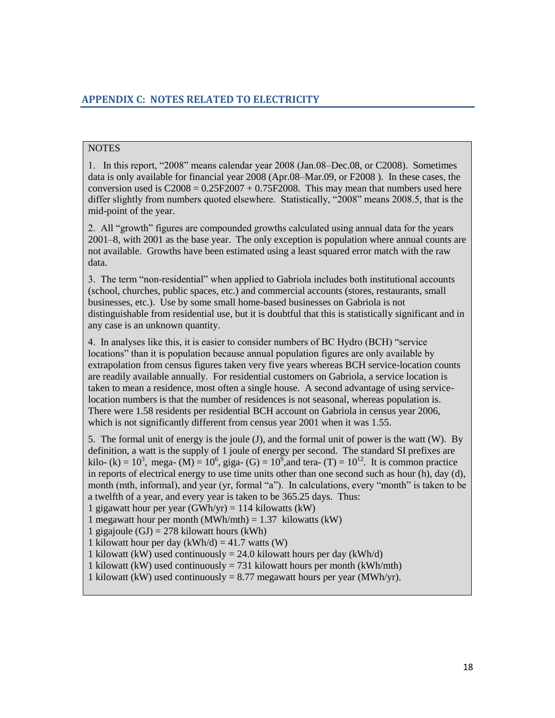## <span id="page-17-0"></span>**NOTES**

1. In this report, "2008" means calendar year 2008 (Jan.08–Dec.08, or C2008). Sometimes data is only available for financial year 2008 (Apr.08–Mar.09, or F2008 ). In these cases, the conversion used is  $C2008 = 0.25F2007 + 0.75F2008$ . This may mean that numbers used here differ slightly from numbers quoted elsewhere. Statistically, "2008" means 2008.5, that is the mid-point of the year.

2. All "growth" figures are compounded growths calculated using annual data for the years 2001–8, with 2001 as the base year. The only exception is population where annual counts are not available. Growths have been estimated using a least squared error match with the raw data.

3. The term "non-residential" when applied to Gabriola includes both institutional accounts (school, churches, public spaces, etc.) and commercial accounts (stores, restaurants, small businesses, etc.). Use by some small home-based businesses on Gabriola is not distinguishable from residential use, but it is doubtful that this is statistically significant and in any case is an unknown quantity.

4. In analyses like this, it is easier to consider numbers of BC Hydro (BCH) "service locations" than it is population because annual population figures are only available by extrapolation from census figures taken very five years whereas BCH service-location counts are readily available annually. For residential customers on Gabriola, a service location is taken to mean a residence, most often a single house. A second advantage of using servicelocation numbers is that the number of residences is not seasonal, whereas population is. There were 1.58 residents per residential BCH account on Gabriola in census year 2006, which is not significantly different from census year 2001 when it was 1.55.

5. The formal unit of energy is the joule (J), and the formal unit of power is the watt (W). By definition, a watt is the supply of 1 joule of energy per second. The standard SI prefixes are kilo- (k) =  $10^3$ , mega- (M) =  $10^6$ , giga- (G) =  $10^5$ , and tera- (T) =  $10^{12}$ . It is common practice in reports of electrical energy to use time units other than one second such as hour (h), day (d), month (mth, informal), and year (yr, formal "a"). In calculations, every "month" is taken to be a twelfth of a year, and every year is taken to be 365.25 days. Thus:

1 gigawatt hour per year  $(GWh/yr) = 114$  kilowatts  $(kW)$ 

1 megawatt hour per month (MWh/mth) =  $1.37$  kilowatts (kW)

1 gigajoule  $(GJ) = 278$  kilowatt hours (kWh)

1 kilowatt hour per day  $(kWh/d) = 41.7$  watts  $(W)$ 

1 kilowatt (kW) used continuously = 24.0 kilowatt hours per day (kWh/d)

1 kilowatt (kW) used continuously = 731 kilowatt hours per month (kWh/mth)

1 kilowatt (kW) used continuously = 8.77 megawatt hours per year (MWh/yr).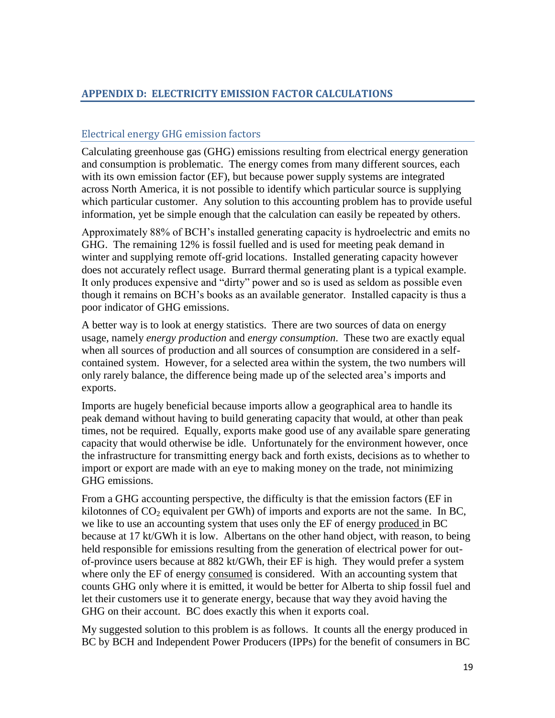## <span id="page-18-0"></span>**APPENDIX D: ELECTRICITY EMISSION FACTOR CALCULATIONS**

## Electrical energy GHG emission factors

Calculating greenhouse gas (GHG) emissions resulting from electrical energy generation and consumption is problematic. The energy comes from many different sources, each with its own emission factor (EF), but because power supply systems are integrated across North America, it is not possible to identify which particular source is supplying which particular customer. Any solution to this accounting problem has to provide useful information, yet be simple enough that the calculation can easily be repeated by others.

Approximately 88% of BCH's installed generating capacity is hydroelectric and emits no GHG. The remaining 12% is fossil fuelled and is used for meeting peak demand in winter and supplying remote off-grid locations. Installed generating capacity however does not accurately reflect usage. Burrard thermal generating plant is a typical example. It only produces expensive and "dirty" power and so is used as seldom as possible even though it remains on BCH's books as an available generator. Installed capacity is thus a poor indicator of GHG emissions.

A better way is to look at energy statistics. There are two sources of data on energy usage, namely *energy production* and *energy consumption*. These two are exactly equal when all sources of production and all sources of consumption are considered in a selfcontained system. However, for a selected area within the system, the two numbers will only rarely balance, the difference being made up of the selected area's imports and exports.

Imports are hugely beneficial because imports allow a geographical area to handle its peak demand without having to build generating capacity that would, at other than peak times, not be required. Equally, exports make good use of any available spare generating capacity that would otherwise be idle. Unfortunately for the environment however, once the infrastructure for transmitting energy back and forth exists, decisions as to whether to import or export are made with an eye to making money on the trade, not minimizing GHG emissions.

From a GHG accounting perspective, the difficulty is that the emission factors (EF in kilotonnes of  $CO<sub>2</sub>$  equivalent per GWh) of imports and exports are not the same. In BC, we like to use an accounting system that uses only the EF of energy produced in BC because at 17 kt/GWh it is low. Albertans on the other hand object, with reason, to being held responsible for emissions resulting from the generation of electrical power for outof-province users because at 882 kt/GWh, their EF is high. They would prefer a system where only the EF of energy consumed is considered. With an accounting system that counts GHG only where it is emitted, it would be better for Alberta to ship fossil fuel and let their customers use it to generate energy, because that way they avoid having the GHG on their account. BC does exactly this when it exports coal.

My suggested solution to this problem is as follows. It counts all the energy produced in BC by BCH and Independent Power Producers (IPPs) for the benefit of consumers in BC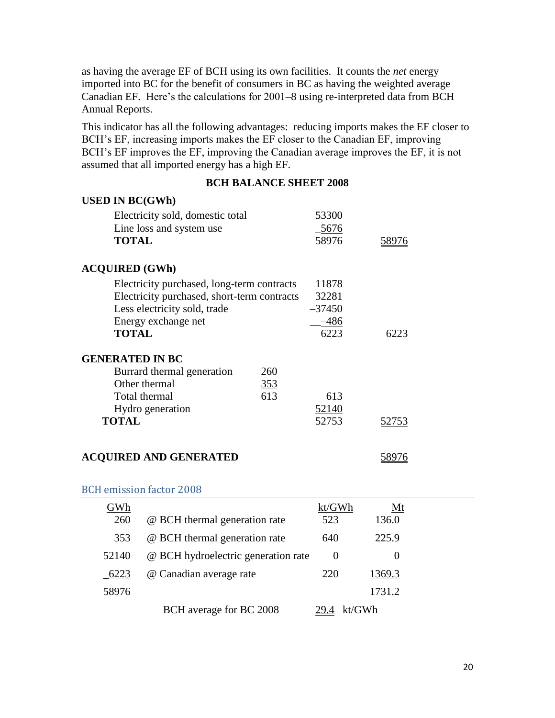as having the average EF of BCH using its own facilities. It counts the *net* energy imported into BC for the benefit of consumers in BC as having the weighted average Canadian EF. Here's the calculations for 2001–8 using re-interpreted data from BCH Annual Reports.

This indicator has all the following advantages: reducing imports makes the EF closer to BCH's EF, increasing imports makes the EF closer to the Canadian EF, improving BCH's EF improves the EF, improving the Canadian average improves the EF, it is not assumed that all imported energy has a high EF.

#### **BCH BALANCE SHEET 2008**

| <b>USED IN BC(GWh)</b>                      |              |              |
|---------------------------------------------|--------------|--------------|
| Electricity sold, domestic total            | 53300        |              |
| Line loss and system use                    | $-5676$      |              |
| <b>TOTAL</b>                                | 58976        | <u>58976</u> |
| <b>ACQUIRED (GWh)</b>                       |              |              |
| Electricity purchased, long-term contracts  | 11878        |              |
| Electricity purchased, short-term contracts | 32281        |              |
| Less electricity sold, trade                | $-37450$     |              |
| Energy exchange net                         | $-486$       |              |
| <b>TOTAL</b>                                | 6223         | 6223         |
| <b>GENERATED IN BC</b>                      |              |              |
| Burrard thermal generation<br>260           |              |              |
| Other thermal<br>353                        |              |              |
| 613<br>Total thermal                        | 613          |              |
| Hydro generation                            | <u>52140</u> |              |
| <b>TOTAL</b>                                | 52753        | 52753        |
|                                             |              |              |
| <b>ACQUIRED AND GENERATED</b>               |              | 58976        |

| GWh   |                                     | kt/GWh   | Mt     |  |
|-------|-------------------------------------|----------|--------|--|
| 260   | @ BCH thermal generation rate       | 523      | 136.0  |  |
| 353   | @ BCH thermal generation rate       | 640      | 225.9  |  |
| 52140 | @ BCH hydroelectric generation rate | $\theta$ |        |  |
| 6223  | @ Canadian average rate             | 220      | 1369.3 |  |
| 58976 |                                     |          | 1731.2 |  |
|       | BCH average for BC 2008             | kt/GWh   |        |  |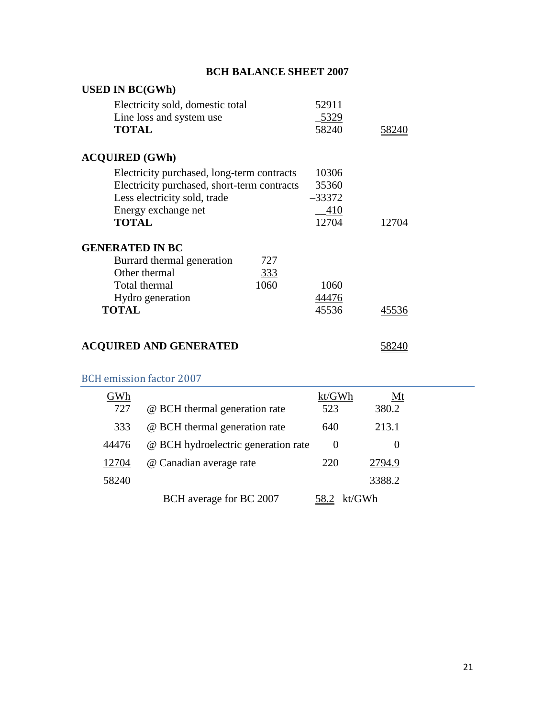| <b>BCH BALANCE SHEET 2007</b>               |      |          |       |  |
|---------------------------------------------|------|----------|-------|--|
| <b>USED IN BC(GWh)</b>                      |      |          |       |  |
| Electricity sold, domestic total            |      | 52911    |       |  |
| Line loss and system use                    |      | _5329    |       |  |
| <b>TOTAL</b>                                |      | 58240    | 58240 |  |
| <b>ACQUIRED (GWh)</b>                       |      |          |       |  |
| Electricity purchased, long-term contracts  |      | 10306    |       |  |
| Electricity purchased, short-term contracts |      | 35360    |       |  |
| Less electricity sold, trade                |      | $-33372$ |       |  |
| Energy exchange net                         |      | 410      |       |  |
| <b>TOTAL</b>                                |      | 12704    | 12704 |  |
| <b>GENERATED IN BC</b>                      |      |          |       |  |
| Burrard thermal generation                  | 727  |          |       |  |
| Other thermal                               | 333  |          |       |  |
| Total thermal                               | 1060 | 1060     |       |  |
| Hydro generation                            |      | 44476    |       |  |
| <b>TOTAL</b>                                |      | 45536    | 45536 |  |
|                                             |      |          |       |  |
|                                             |      |          |       |  |

## **ACQUIRED AND GENERATED** 58240

| GWh   |                                     | kt/GWh   | Mt     |  |
|-------|-------------------------------------|----------|--------|--|
| 727   | @ BCH thermal generation rate       | 523      | 380.2  |  |
| 333   | @ BCH thermal generation rate       | 640      | 213.1  |  |
| 44476 | @ BCH hydroelectric generation rate | $\theta$ |        |  |
| 12704 | @ Canadian average rate             | 220      | 2794.9 |  |
| 58240 |                                     |          | 3388.2 |  |
|       | BCH average for BC 2007             |          | kt/GWh |  |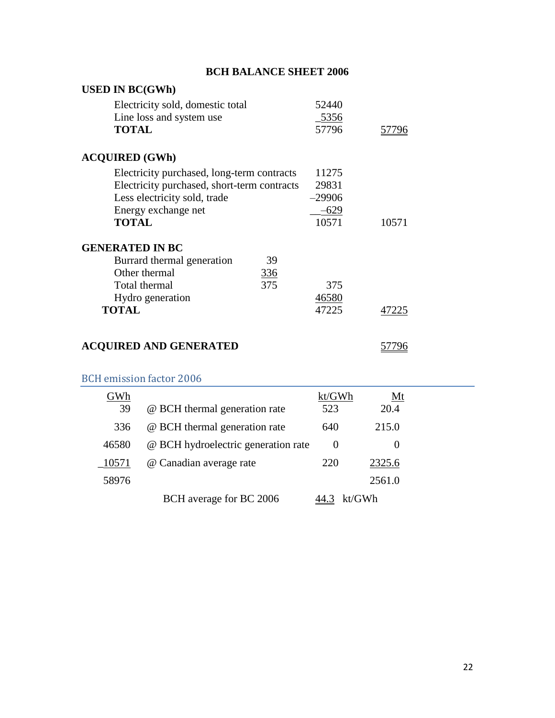| <b>BCH BALANCE SHEET 2006</b>                                |                |  |  |  |
|--------------------------------------------------------------|----------------|--|--|--|
| <b>USED IN BC(GWh)</b>                                       |                |  |  |  |
| Electricity sold, domestic total<br>Line loss and system use | 52440<br>_5356 |  |  |  |
| <b>TOTAL</b>                                                 | 57796<br>57796 |  |  |  |
| <b>ACQUIRED (GWh)</b>                                        |                |  |  |  |
| Electricity purchased, long-term contracts                   | 11275          |  |  |  |
| Electricity purchased, short-term contracts                  | 29831          |  |  |  |
| Less electricity sold, trade                                 | $-29906$       |  |  |  |
| Energy exchange net                                          | $-629$         |  |  |  |
| <b>TOTAL</b>                                                 | 10571<br>10571 |  |  |  |
| <b>GENERATED IN BC</b>                                       |                |  |  |  |
| Burrard thermal generation<br>39                             |                |  |  |  |
| Other thermal<br><u>336</u>                                  |                |  |  |  |
| 375<br>Total thermal                                         | 375            |  |  |  |
| Hydro generation                                             | 46580          |  |  |  |
| <b>TOTAL</b>                                                 | 47225<br>47225 |  |  |  |
|                                                              |                |  |  |  |
| <b>ACQUIRED AND GENERATED</b>                                |                |  |  |  |

| GWh   |                                     | kt/GWh   | Mt     |  |
|-------|-------------------------------------|----------|--------|--|
| 39    | @ BCH thermal generation rate       | 523      | 20.4   |  |
| 336   | @ BCH thermal generation rate       | 640      | 215.0  |  |
| 46580 | @ BCH hydroelectric generation rate | $\theta$ |        |  |
| 10571 | @ Canadian average rate             | 220      | 2325.6 |  |
| 58976 |                                     |          | 2561.0 |  |
|       | BCH average for BC 2006             |          | kt/GWh |  |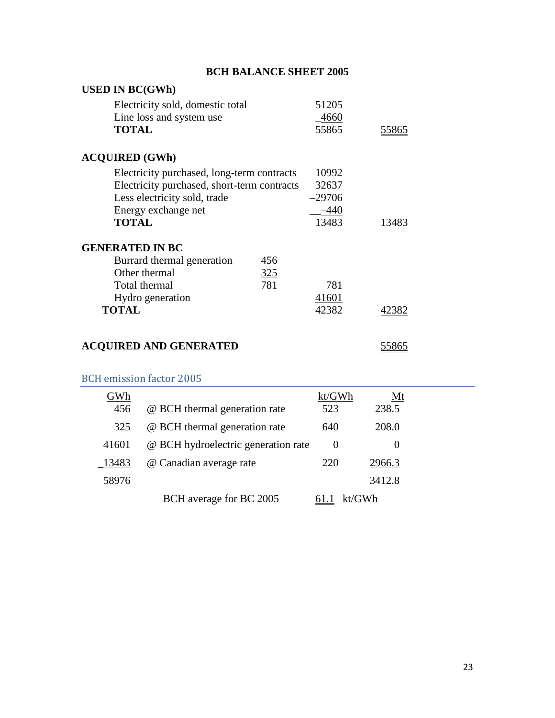| <b>BCH BALANCE SHEET 2005</b>               |     |          |       |  |  |
|---------------------------------------------|-----|----------|-------|--|--|
| <b>USED IN BC(GWh)</b>                      |     |          |       |  |  |
| Electricity sold, domestic total            |     | 51205    |       |  |  |
| Line loss and system use                    |     | 4660     |       |  |  |
| <b>TOTAL</b>                                |     | 55865    | 55865 |  |  |
| <b>ACQUIRED (GWh)</b>                       |     |          |       |  |  |
| Electricity purchased, long-term contracts  |     | 10992    |       |  |  |
| Electricity purchased, short-term contracts |     | 32637    |       |  |  |
| Less electricity sold, trade                |     | $-29706$ |       |  |  |
| Energy exchange net                         |     | $-440$   |       |  |  |
| <b>TOTAL</b>                                |     | 13483    | 13483 |  |  |
| <b>GENERATED IN BC</b>                      |     |          |       |  |  |
| Burrard thermal generation                  | 456 |          |       |  |  |
| Other thermal                               | 325 |          |       |  |  |
| Total thermal                               | 781 | 781      |       |  |  |
| Hydro generation                            |     | 41601    |       |  |  |
| <b>TOTAL</b>                                |     | 42382    | 42382 |  |  |
|                                             |     |          |       |  |  |
| <b>ACQUIRED AND GENERATED</b>               |     |          | 55865 |  |  |

|       | <b>BCH</b> emission factor 2005     |          |        |  |
|-------|-------------------------------------|----------|--------|--|
| GWh   |                                     | kt/GWh   | Mt     |  |
| 456   | @ BCH thermal generation rate       | 523      | 238.5  |  |
| 325   | @ BCH thermal generation rate       | 640      | 208.0  |  |
| 41601 | @ BCH hydroelectric generation rate | $\Omega$ |        |  |
| 13483 | @ Canadian average rate             | 220      | 2966.3 |  |
| 58976 |                                     |          | 3412.8 |  |
|       | BCH average for BC 2005             |          | kt/GWh |  |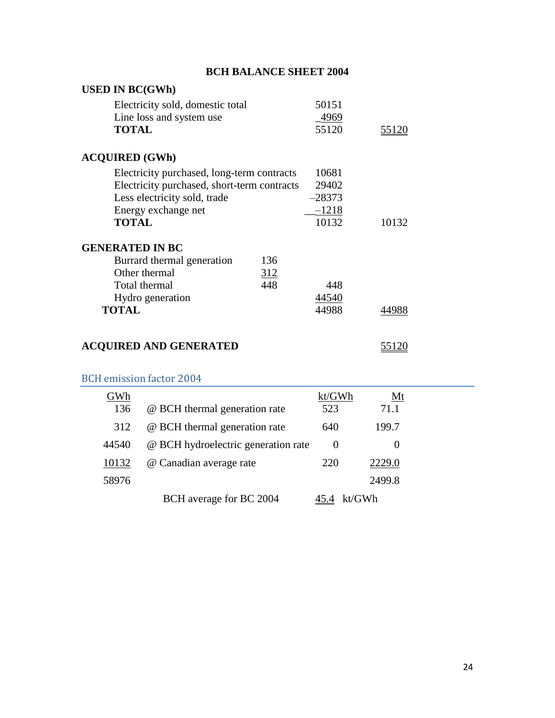| <b>BCH BALANCE SHEET 2004</b>               |          |              |  |  |  |
|---------------------------------------------|----------|--------------|--|--|--|
| <b>USED IN BC(GWh)</b>                      |          |              |  |  |  |
| Electricity sold, domestic total            | 50151    |              |  |  |  |
| Line loss and system use                    | 4969_    |              |  |  |  |
| <b>TOTAL</b>                                | 55120    | <u>55120</u> |  |  |  |
| <b>ACQUIRED (GWh)</b>                       |          |              |  |  |  |
| Electricity purchased, long-term contracts  | 10681    |              |  |  |  |
| Electricity purchased, short-term contracts | 29402    |              |  |  |  |
| Less electricity sold, trade                | $-28373$ |              |  |  |  |
| Energy exchange net                         | $-1218$  |              |  |  |  |
| <b>TOTAL</b>                                | 10132    | 10132        |  |  |  |
| <b>GENERATED IN BC</b>                      |          |              |  |  |  |
| Burrard thermal generation<br>136           |          |              |  |  |  |
| Other thermal<br>312                        |          |              |  |  |  |
| 448<br>Total thermal                        | 448      |              |  |  |  |
| Hydro generation                            | 44540    |              |  |  |  |
| <b>TOTAL</b>                                | 44988    | 4988         |  |  |  |
|                                             |          |              |  |  |  |
| <b>ACQUIRED AND GENERATED</b>               |          | 55120        |  |  |  |

| GWh   |                                     | kt/GWh   | Mt     |  |
|-------|-------------------------------------|----------|--------|--|
| 136   | @ BCH thermal generation rate       | 523      | 71.1   |  |
| 312   | @ BCH thermal generation rate       | 640      | 199.7  |  |
| 44540 | @ BCH hydroelectric generation rate | $\theta$ |        |  |
| 10132 | @ Canadian average rate             | 220      | 2229.0 |  |
| 58976 |                                     |          | 2499.8 |  |
|       | BCH average for BC 2004             |          | kt/GWh |  |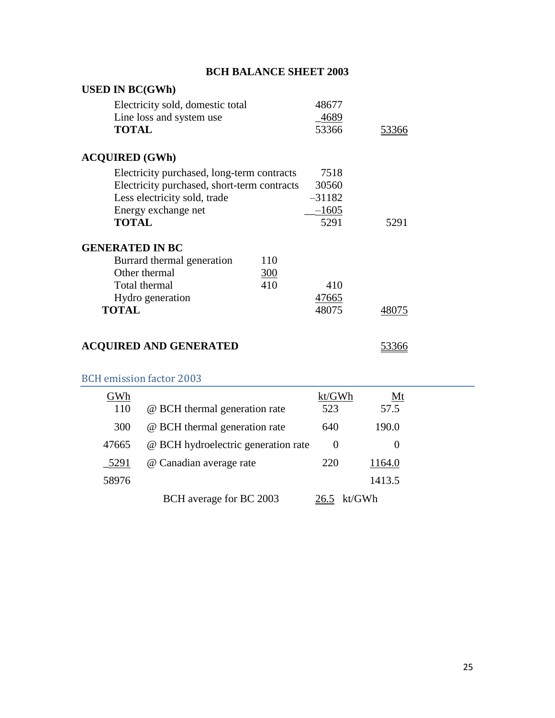| <b>BCH BALANCE SHEET 2003</b>                                                |                        |              |  |  |
|------------------------------------------------------------------------------|------------------------|--------------|--|--|
| <b>USED IN BC(GWh)</b>                                                       |                        |              |  |  |
| Electricity sold, domestic total<br>Line loss and system use<br><b>TOTAL</b> | 48677<br>4689<br>53366 | <u>53366</u> |  |  |
| <b>ACQUIRED (GWh)</b>                                                        |                        |              |  |  |
| Electricity purchased, long-term contracts                                   | 7518                   |              |  |  |
| Electricity purchased, short-term contracts                                  | 30560                  |              |  |  |
| Less electricity sold, trade                                                 | $-31182$               |              |  |  |
| Energy exchange net                                                          | $-1605$                |              |  |  |
| <b>TOTAL</b>                                                                 | 5291                   | 5291         |  |  |
| <b>GENERATED IN BC</b>                                                       |                        |              |  |  |
| 110<br>Burrard thermal generation                                            |                        |              |  |  |
| Other thermal<br><u>300</u>                                                  |                        |              |  |  |
| 410<br>Total thermal                                                         | 410                    |              |  |  |
| Hydro generation                                                             | 47665                  |              |  |  |
| <b>TOTAL</b>                                                                 | 48075                  | 48075        |  |  |
| <b>ACQUIRED AND GENERATED</b>                                                |                        | 53366        |  |  |

| GWh   |                                     | kt/GWh   | <u>Mt</u> |  |
|-------|-------------------------------------|----------|-----------|--|
| 110   | @ BCH thermal generation rate       | 523      | 57.5      |  |
| 300   | @ BCH thermal generation rate       | 640      | 190.0     |  |
| 47665 | @ BCH hydroelectric generation rate | $\theta$ | O         |  |
| 5291  | @ Canadian average rate             | 220      | 1164.0    |  |
| 58976 |                                     |          | 1413.5    |  |
|       | BCH average for BC 2003             |          | kt/GWh    |  |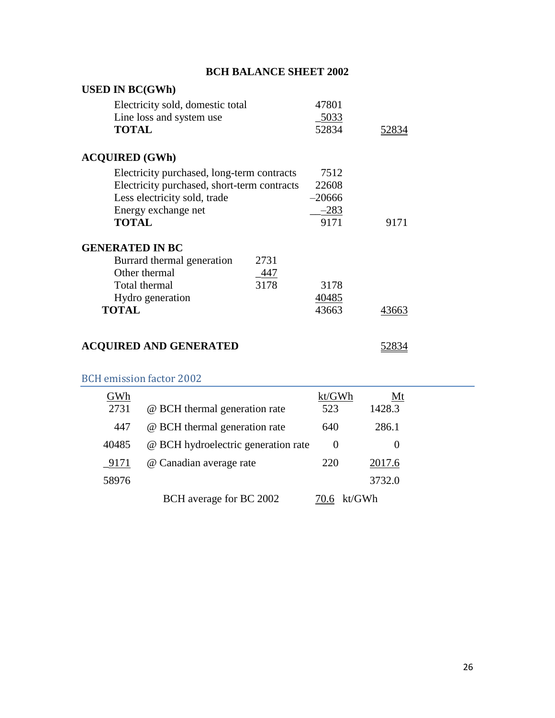| <b>BCH BALANCE SHEET 2002</b>               |          |       |
|---------------------------------------------|----------|-------|
| <b>USED IN BC(GWh)</b>                      |          |       |
| Electricity sold, domestic total            | 47801    |       |
| Line loss and system use                    | _5033    |       |
| <b>TOTAL</b>                                | 52834    | 52834 |
| <b>ACQUIRED (GWh)</b>                       |          |       |
| Electricity purchased, long-term contracts  | 7512     |       |
| Electricity purchased, short-term contracts | 22608    |       |
| Less electricity sold, trade                | $-20666$ |       |
| Energy exchange net                         | $-283$   |       |
| <b>TOTAL</b>                                | 9171     | 9171  |
| <b>GENERATED IN BC</b>                      |          |       |
| Burrard thermal generation<br>2731          |          |       |
| Other thermal<br>447                        |          |       |
| 3178<br>Total thermal                       | 3178     |       |
| Hydro generation                            | 40485    |       |
| <b>TOTAL</b>                                | 43663    | 43663 |
|                                             |          |       |
| <b>ACQUIRED AND GENERATED</b>               |          | 52834 |

| GWh   |                                     | kt/GWh   | Mt     |  |
|-------|-------------------------------------|----------|--------|--|
| 2731  | @ BCH thermal generation rate       | 523      | 1428.3 |  |
| 447   | @ BCH thermal generation rate       | 640      | 286.1  |  |
| 40485 | @ BCH hydroelectric generation rate | $\theta$ |        |  |
| 9171  | @ Canadian average rate             | 220      | 2017.6 |  |
| 58976 |                                     |          | 3732.0 |  |
|       | BCH average for BC 2002             | 70.6     | kt/GWh |  |